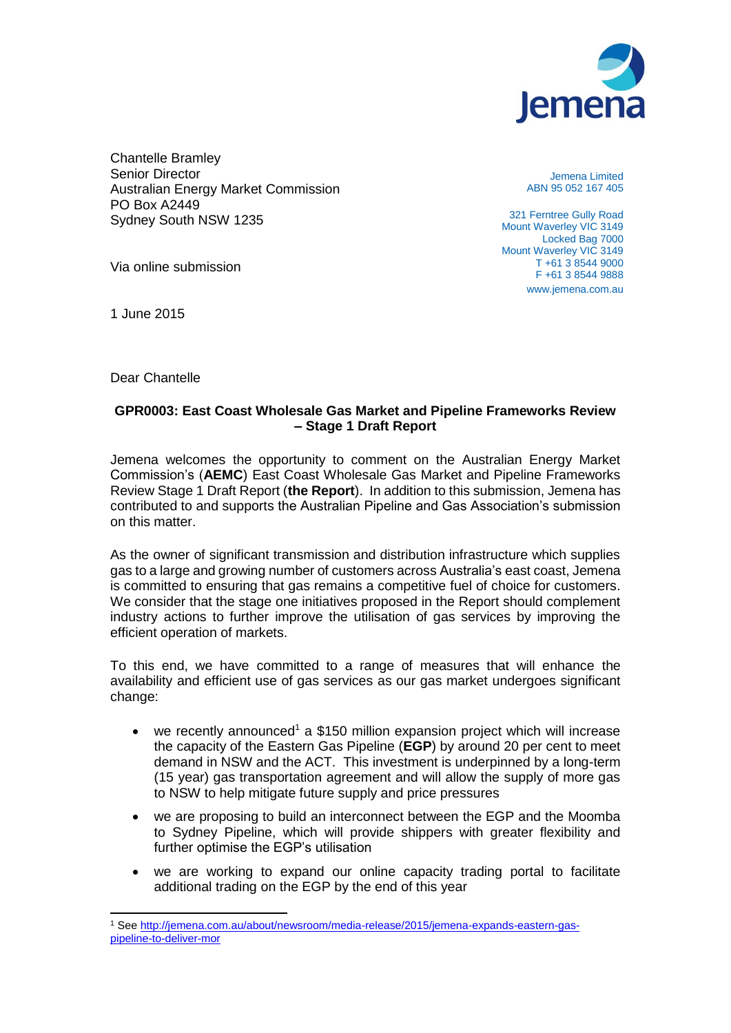

Chantelle Bramley Senior Director Australian Energy Market Commission PO Box A2449 Sydney South NSW 1235

Jemena Limited ABN 95 052 167 405

321 Ferntree Gully Road Mount Waverley VIC 3149 Locked Bag 7000 Mount Waverley VIC 3149 T +61 3 8544 9000 F +61 3 8544 9888 www.jemena.com.au

Via online submission

1 June 2015

Dear Chantelle

# **GPR0003: East Coast Wholesale Gas Market and Pipeline Frameworks Review – Stage 1 Draft Report**

Jemena welcomes the opportunity to comment on the Australian Energy Market Commission's (**AEMC**) East Coast Wholesale Gas Market and Pipeline Frameworks Review Stage 1 Draft Report (**the Report**). In addition to this submission, Jemena has contributed to and supports the Australian Pipeline and Gas Association's submission on this matter.

As the owner of significant transmission and distribution infrastructure which supplies gas to a large and growing number of customers across Australia's east coast, Jemena is committed to ensuring that gas remains a competitive fuel of choice for customers. We consider that the stage one initiatives proposed in the Report should complement industry actions to further improve the utilisation of gas services by improving the efficient operation of markets.

To this end, we have committed to a range of measures that will enhance the availability and efficient use of gas services as our gas market undergoes significant change:

- we recently announced<sup>1</sup> a \$150 million expansion project which will increase the capacity of the Eastern Gas Pipeline (**EGP**) by around 20 per cent to meet demand in NSW and the ACT. This investment is underpinned by a long-term (15 year) gas transportation agreement and will allow the supply of more gas to NSW to help mitigate future supply and price pressures
- we are proposing to build an interconnect between the EGP and the Moomba to Sydney Pipeline, which will provide shippers with greater flexibility and further optimise the EGP's utilisation
- we are working to expand our online capacity trading portal to facilitate additional trading on the EGP by the end of this year

 <sup>1</sup> See [http://jemena.com.au/about/newsroom/media-release/2015/jemena-expands-eastern-gas](http://jemena.com.au/about/newsroom/media-release/2015/jemena-expands-eastern-gas-pipeline-to-deliver-mor)[pipeline-to-deliver-mor](http://jemena.com.au/about/newsroom/media-release/2015/jemena-expands-eastern-gas-pipeline-to-deliver-mor)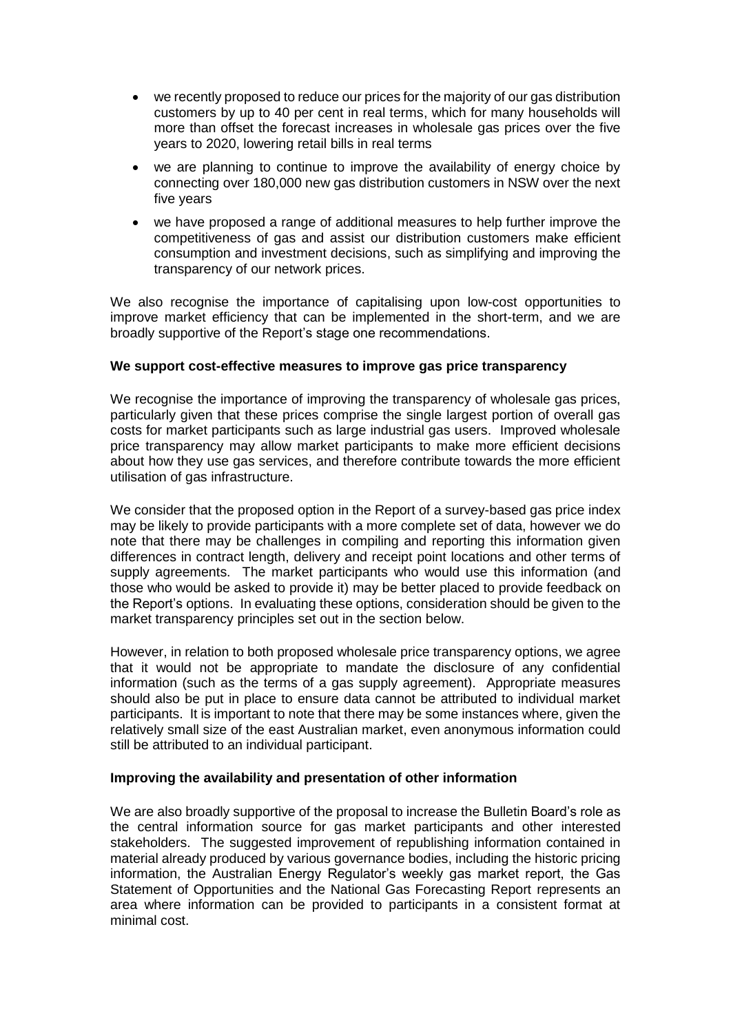- we recently proposed to reduce our prices for the majority of our gas distribution customers by up to 40 per cent in real terms, which for many households will more than offset the forecast increases in wholesale gas prices over the five years to 2020, lowering retail bills in real terms
- we are planning to continue to improve the availability of energy choice by connecting over 180,000 new gas distribution customers in NSW over the next five years
- we have proposed a range of additional measures to help further improve the competitiveness of gas and assist our distribution customers make efficient consumption and investment decisions, such as simplifying and improving the transparency of our network prices.

We also recognise the importance of capitalising upon low-cost opportunities to improve market efficiency that can be implemented in the short-term, and we are broadly supportive of the Report's stage one recommendations.

## **We support cost-effective measures to improve gas price transparency**

We recognise the importance of improving the transparency of wholesale gas prices. particularly given that these prices comprise the single largest portion of overall gas costs for market participants such as large industrial gas users. Improved wholesale price transparency may allow market participants to make more efficient decisions about how they use gas services, and therefore contribute towards the more efficient utilisation of gas infrastructure.

We consider that the proposed option in the Report of a survey-based gas price index may be likely to provide participants with a more complete set of data, however we do note that there may be challenges in compiling and reporting this information given differences in contract length, delivery and receipt point locations and other terms of supply agreements. The market participants who would use this information (and those who would be asked to provide it) may be better placed to provide feedback on the Report's options. In evaluating these options, consideration should be given to the market transparency principles set out in the section below.

However, in relation to both proposed wholesale price transparency options, we agree that it would not be appropriate to mandate the disclosure of any confidential information (such as the terms of a gas supply agreement). Appropriate measures should also be put in place to ensure data cannot be attributed to individual market participants. It is important to note that there may be some instances where, given the relatively small size of the east Australian market, even anonymous information could still be attributed to an individual participant.

### **Improving the availability and presentation of other information**

We are also broadly supportive of the proposal to increase the Bulletin Board's role as the central information source for gas market participants and other interested stakeholders. The suggested improvement of republishing information contained in material already produced by various governance bodies, including the historic pricing information, the Australian Energy Regulator's weekly gas market report, the Gas Statement of Opportunities and the National Gas Forecasting Report represents an area where information can be provided to participants in a consistent format at minimal cost.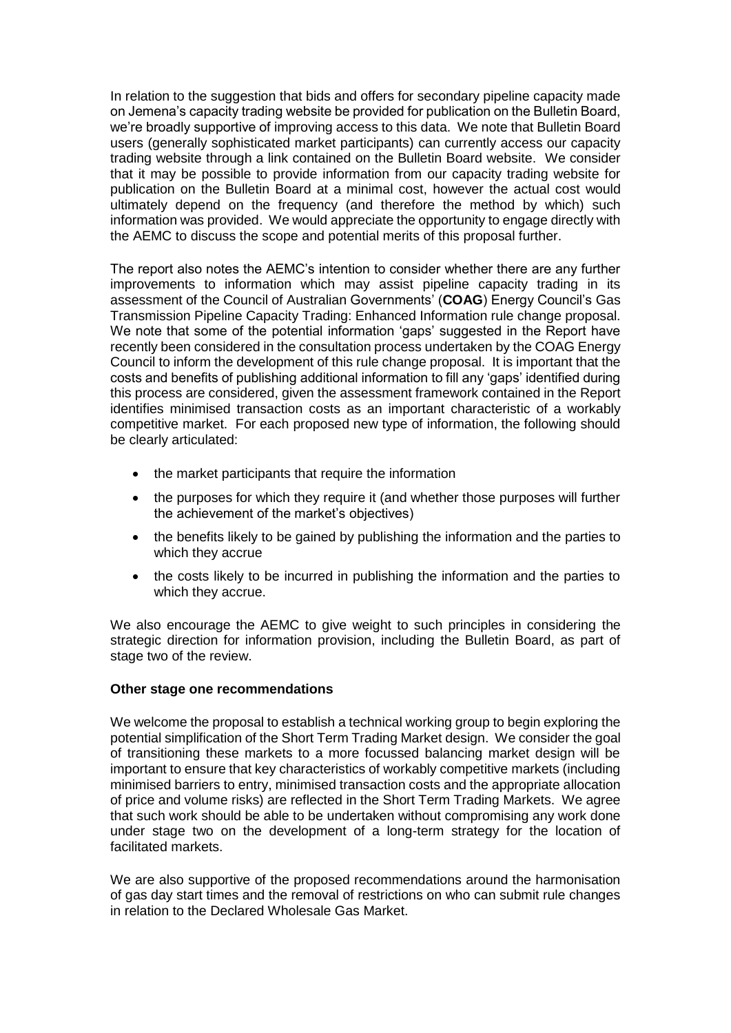In relation to the suggestion that bids and offers for secondary pipeline capacity made on Jemena's capacity trading website be provided for publication on the Bulletin Board, we're broadly supportive of improving access to this data. We note that Bulletin Board users (generally sophisticated market participants) can currently access our capacity trading website through a link contained on the Bulletin Board website. We consider that it may be possible to provide information from our capacity trading website for publication on the Bulletin Board at a minimal cost, however the actual cost would ultimately depend on the frequency (and therefore the method by which) such information was provided. We would appreciate the opportunity to engage directly with the AEMC to discuss the scope and potential merits of this proposal further.

The report also notes the AEMC's intention to consider whether there are any further improvements to information which may assist pipeline capacity trading in its assessment of the Council of Australian Governments' (**COAG**) Energy Council's Gas Transmission Pipeline Capacity Trading: Enhanced Information rule change proposal. We note that some of the potential information 'gaps' suggested in the Report have recently been considered in the consultation process undertaken by the COAG Energy Council to inform the development of this rule change proposal. It is important that the costs and benefits of publishing additional information to fill any 'gaps' identified during this process are considered, given the assessment framework contained in the Report identifies minimised transaction costs as an important characteristic of a workably competitive market. For each proposed new type of information, the following should be clearly articulated:

- the market participants that require the information
- the purposes for which they require it (and whether those purposes will further the achievement of the market's objectives)
- the benefits likely to be gained by publishing the information and the parties to which they accrue
- the costs likely to be incurred in publishing the information and the parties to which they accrue.

We also encourage the AEMC to give weight to such principles in considering the strategic direction for information provision, including the Bulletin Board, as part of stage two of the review.

### **Other stage one recommendations**

We welcome the proposal to establish a technical working group to begin exploring the potential simplification of the Short Term Trading Market design. We consider the goal of transitioning these markets to a more focussed balancing market design will be important to ensure that key characteristics of workably competitive markets (including minimised barriers to entry, minimised transaction costs and the appropriate allocation of price and volume risks) are reflected in the Short Term Trading Markets. We agree that such work should be able to be undertaken without compromising any work done under stage two on the development of a long-term strategy for the location of facilitated markets.

We are also supportive of the proposed recommendations around the harmonisation of gas day start times and the removal of restrictions on who can submit rule changes in relation to the Declared Wholesale Gas Market.